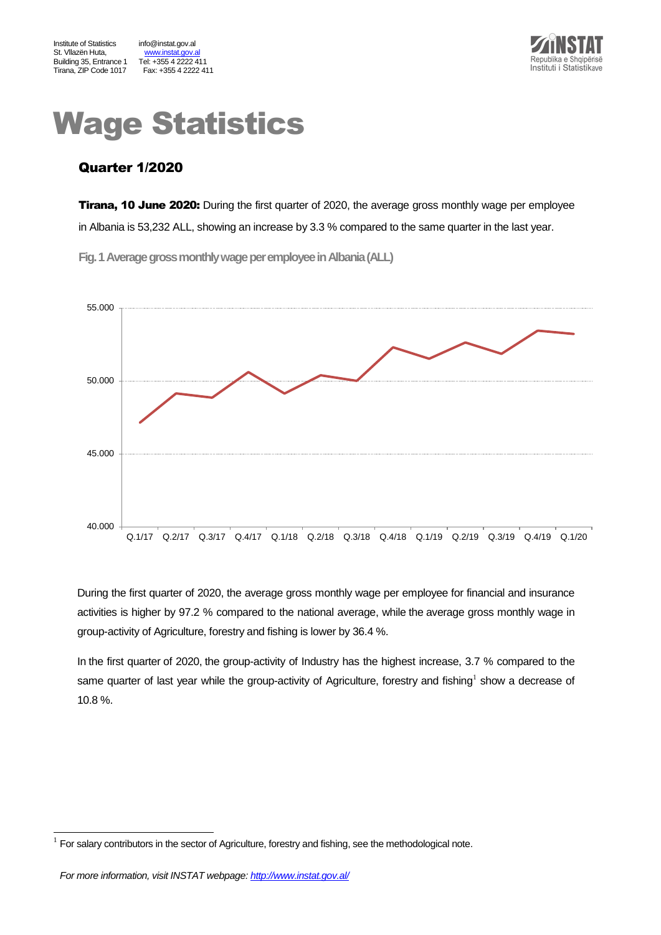www.instat.gov.al<br>Tel: +355 4 2222 411



# Wage Statistics

## Quarter 1/2020

**Tirana, 10 June 2020:** During the first quarter of 2020, the average gross monthly wage per employee in Albania is 53,232 ALL, showing an increase by 3.3 % compared to the same quarter in the last year.

**Fig.1Average gross monthly wage per employeein Albania(ALL)**



During the first quarter of 2020, the average gross monthly wage per employee for financial and insurance activities is higher by 97.2 % compared to the national average, while the average gross monthly wage in group-activity of Agriculture, forestry and fishing is lower by 36.4 %.

In the first quarter of 2020, the group-activity of Industry has the highest increase, 3.7 % compared to the same quarter of last year while the group-activity of Agriculture, forestry and fishing<sup>1</sup> show a decrease of 10.8 %.

l

<sup>1</sup> For salary contributors in the sector of Agriculture, forestry and fishing, see the methodological note.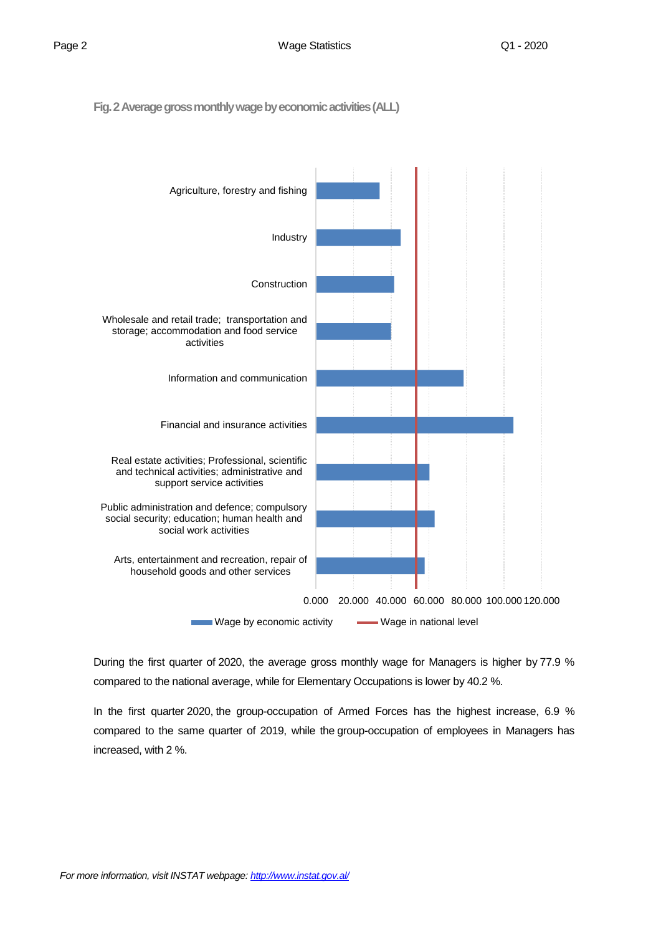**Fig. 2 Average gross monthly wage by economic activities(ALL)**



During the first quarter of 2020, the average gross monthly wage for Managers is higher by 77.9 % compared to the national average, while for Elementary Occupations is lower by 40.2 %.

In the first quarter 2020, the group-occupation of Armed Forces has the highest increase, 6.9 % compared to the same quarter of 2019, while the group-occupation of employees in Managers has increased, with 2 %.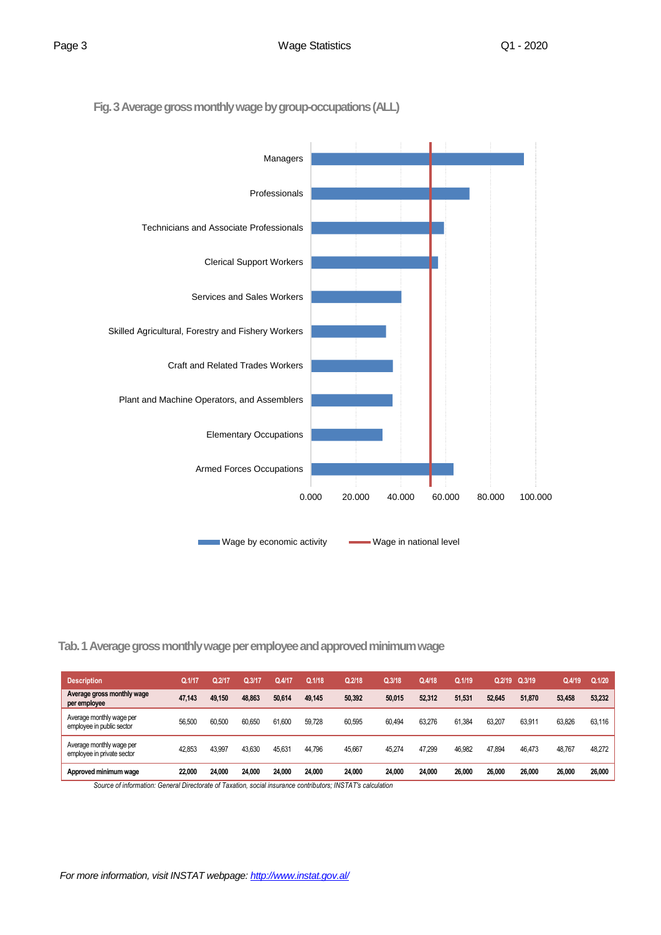**Fig. 3Average gross monthly wage by group-occupations(ALL)**



#### **Tab. 1 Average gross monthly wage per employee and approved minimum wage**

| <b>Description</b>                                     | Q.1/17 | 2/17   | Q.3/17 | Q.4/17 | Q.1/18 | Q.2/18 | Q.3/18 | Q.4/18 | Q.1/19 | 0.2/19 | Q.3/19 | Q.4/19 | Q.1/20 |
|--------------------------------------------------------|--------|--------|--------|--------|--------|--------|--------|--------|--------|--------|--------|--------|--------|
| Average gross monthly wage<br>per employee             | 47.143 | 49.150 | 48.863 | 50.614 | 49.145 | 50.392 | 50.015 | 52.312 | 51.531 | 52.645 | 51.870 | 53.458 | 53,232 |
| Average monthly wage per<br>employee in public sector  | 56,500 | 60.500 | 60.650 | 61.600 | 59.728 | 60.595 | 60.494 | 63.276 | 61.384 | 63.207 | 63.911 | 63.826 | 63,116 |
| Average monthly wage per<br>employee in private sector | 42.853 | 43.997 | 43.630 | 45.631 | 44.796 | 45,667 | 45.274 | 47.299 | 46,982 | 47.894 | 46.473 | 48.767 | 48,272 |
| Approved minimum wage                                  | 22,000 | 24.000 | 24.000 | 24.000 | 24.000 | 24.000 | 24.000 | 24.000 | 26,000 | 26.000 | 26.000 | 26,000 | 26.000 |

*Source of information: General Directorate of Taxation, social insurance contributors; INSTAT's calculation*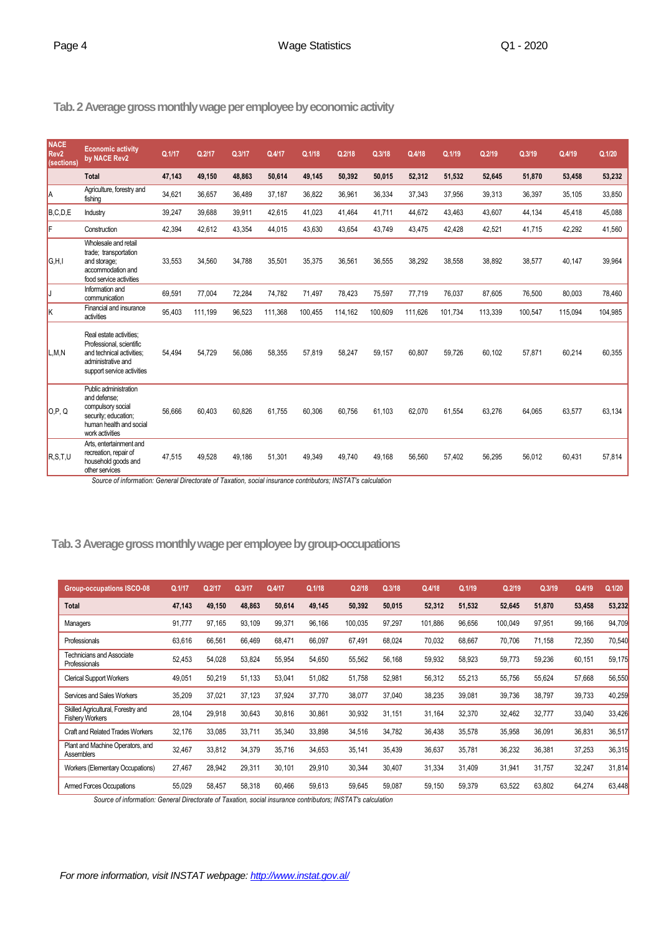#### **Tab.2 Average gross monthly wage per employee by economic activity**

| <b>NACE</b><br>Rev <sub>2</sub><br>(sections) | <b>Economic activity</b><br>by NACE Rev2                                                                                             | Q.1/17 | Q.2/17  | Q.3/17 | Q.4/17  | Q.1/18  | Q.2/18  | Q.3/18  | Q.4/18  | Q.1/19  | Q.2/19  | Q.3/19  | Q.4/19  | Q.1/20  |
|-----------------------------------------------|--------------------------------------------------------------------------------------------------------------------------------------|--------|---------|--------|---------|---------|---------|---------|---------|---------|---------|---------|---------|---------|
|                                               | <b>Total</b>                                                                                                                         | 47,143 | 49,150  | 48,863 | 50,614  | 49,145  | 50,392  | 50,015  | 52,312  | 51,532  | 52,645  | 51,870  | 53,458  | 53,232  |
| A                                             | Agriculture, forestry and<br>fishing                                                                                                 | 34,621 | 36,657  | 36,489 | 37,187  | 36,822  | 36,961  | 36,334  | 37,343  | 37,956  | 39,313  | 36,397  | 35,105  | 33,850  |
| B, C, D, E                                    | Industry                                                                                                                             | 39,247 | 39,688  | 39,911 | 42,615  | 41,023  | 41,464  | 41,711  | 44,672  | 43,463  | 43,607  | 44,134  | 45,418  | 45,088  |
| F                                             | Construction                                                                                                                         | 42.394 | 42,612  | 43,354 | 44,015  | 43,630  | 43,654  | 43,749  | 43,475  | 42,428  | 42,521  | 41,715  | 42,292  | 41,560  |
| G.H.I                                         | Wholesale and retail<br>trade; transportation<br>and storage;<br>accommodation and<br>food service activities                        | 33,553 | 34,560  | 34,788 | 35,501  | 35,375  | 36,561  | 36,555  | 38,292  | 38,558  | 38,892  | 38,577  | 40,147  | 39,964  |
| IJ                                            | Information and<br>communication                                                                                                     | 69,591 | 77,004  | 72,284 | 74,782  | 71,497  | 78,423  | 75,597  | 77,719  | 76,037  | 87,605  | 76,500  | 80,003  | 78,460  |
| ΙK                                            | Financial and insurance<br>activities                                                                                                | 95,403 | 111,199 | 96,523 | 111,368 | 100,455 | 114,162 | 100,609 | 111,626 | 101,734 | 113,339 | 100,547 | 115,094 | 104,985 |
| L,M,N                                         | Real estate activities:<br>Professional, scientific<br>and technical activities:<br>administrative and<br>support service activities | 54.494 | 54,729  | 56,086 | 58,355  | 57,819  | 58,247  | 59,157  | 60,807  | 59,726  | 60,102  | 57,871  | 60,214  | 60,355  |
| 0.P.Q                                         | Public administration<br>and defense:<br>compulsory social<br>security; education;<br>human health and social<br>work activities     | 56,666 | 60,403  | 60,826 | 61,755  | 60,306  | 60,756  | 61,103  | 62,070  | 61,554  | 63,276  | 64,065  | 63,577  | 63,134  |
| R, S, T, U                                    | Arts, entertainment and<br>recreation, repair of<br>household goods and<br>other services                                            | 47,515 | 49,528  | 49.186 | 51,301  | 49,349  | 49,740  | 49.168  | 56,560  | 57,402  | 56,295  | 56,012  | 60,431  | 57,814  |

*Source of information: General Directorate of Taxation, social insurance contributors; INSTAT's calculation*

## **Tab.3Average gross monthly wage per employee by group-occupations**

| <b>Group-occupations ISCO-08</b>                             | Q.1/17 | Q.2/17 | Q.3/17 | Q.4/17 | Q.1/18 | Q.2/18  | Q.3/18 | Q.4/18  | Q.1/19 | Q.2/19  | Q.3/19 | Q.4/19 | Q.1/20 |
|--------------------------------------------------------------|--------|--------|--------|--------|--------|---------|--------|---------|--------|---------|--------|--------|--------|
| Total                                                        | 47,143 | 49,150 | 48,863 | 50,614 | 49.145 | 50,392  | 50,015 | 52,312  | 51,532 | 52,645  | 51,870 | 53,458 | 53,232 |
| Managers                                                     | 91,777 | 97,165 | 93,109 | 99,371 | 96,166 | 100,035 | 97,297 | 101,886 | 96,656 | 100,049 | 97,951 | 99,166 | 94,709 |
| Professionals                                                | 63,616 | 66,561 | 66,469 | 68,471 | 66,097 | 67,491  | 68,024 | 70,032  | 68,667 | 70,706  | 71,158 | 72,350 | 70,540 |
| <b>Technicians and Associate</b><br>Professionals            | 52,453 | 54,028 | 53,824 | 55,954 | 54.650 | 55,562  | 56,168 | 59,932  | 58,923 | 59,773  | 59,236 | 60,151 | 59,175 |
| <b>Clerical Support Workers</b>                              | 49,051 | 50,219 | 51,133 | 53,041 | 51,082 | 51,758  | 52,981 | 56,312  | 55,213 | 55,756  | 55,624 | 57,668 | 56,550 |
| Services and Sales Workers                                   | 35,209 | 37,021 | 37,123 | 37,924 | 37,770 | 38,077  | 37,040 | 38,235  | 39,081 | 39,736  | 38,797 | 39,733 | 40,259 |
| Skilled Agricultural, Forestry and<br><b>Fishery Workers</b> | 28,104 | 29,918 | 30,643 | 30,816 | 30,861 | 30,932  | 31,151 | 31,164  | 32,370 | 32,462  | 32,777 | 33,040 | 33,426 |
| Craft and Related Trades Workers                             | 32,176 | 33,085 | 33,711 | 35,340 | 33,898 | 34,516  | 34,782 | 36,438  | 35,578 | 35,958  | 36,091 | 36,831 | 36,517 |
| Plant and Machine Operators, and<br><b>Assemblers</b>        | 32,467 | 33,812 | 34,379 | 35,716 | 34,653 | 35,141  | 35,439 | 36,637  | 35,781 | 36,232  | 36,381 | 37,253 | 36,315 |
| Workers (Elementary Occupations)                             | 27,467 | 28,942 | 29,311 | 30,101 | 29,910 | 30,344  | 30,407 | 31,334  | 31,409 | 31,941  | 31,757 | 32,247 | 31,814 |
| <b>Armed Forces Occupations</b>                              | 55,029 | 58,457 | 58,318 | 60,466 | 59,613 | 59,645  | 59.087 | 59,150  | 59,379 | 63,522  | 63,802 | 64,274 | 63,448 |

*Source of information: General Directorate of Taxation, social insurance contributors; INSTAT's calculation*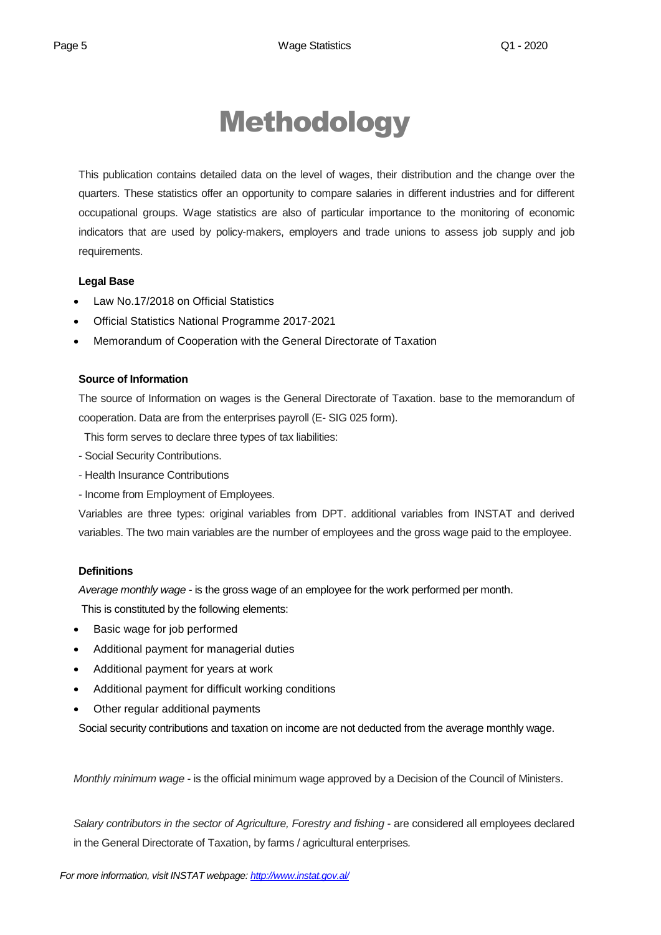## Methodology

This publication contains detailed data on the level of wages, their distribution and the change over the quarters. These statistics offer an opportunity to compare salaries in different industries and for different occupational groups. Wage statistics are also of particular importance to the monitoring of economic indicators that are used by policy-makers, employers and trade unions to assess job supply and job requirements.

#### **Legal Base**

- [Law No.17/2018 on Official Statistics](http://instat.gov.al/media/3972/law-no17-2018-on-official-statistics.pdf)
- Official Statistics National Programme 2017-2021
- Memorandum of Cooperation with the General Directorate of Taxation

#### **Source of Information**

The source of Information on wages is the General Directorate of Taxation. base to the memorandum of cooperation. Data are from the enterprises payroll (E- SIG 025 form).

This form serves to declare three types of tax liabilities:

- Social Security Contributions.
- Health Insurance Contributions
- Income from Employment of Employees.

Variables are three types: original variables from DPT. additional variables from INSTAT and derived variables. The two main variables are the number of employees and the gross wage paid to the employee.

#### **Definitions**

*Average monthly wage* - is the gross wage of an employee for the work performed per month.

This is constituted by the following elements:

- Basic wage for job performed
- Additional payment for managerial duties
- Additional payment for years at work
- Additional payment for difficult working conditions
- Other regular additional payments

Social security contributions and taxation on income are not deducted from the average monthly wage.

*Monthly minimum wage* - is the official minimum wage approved by a Decision of the Council of Ministers.

*Salary contributors in the sector of Agriculture, Forestry and fishing* - are considered all employees declared in the General Directorate of Taxation, by farms / agricultural enterprises*.*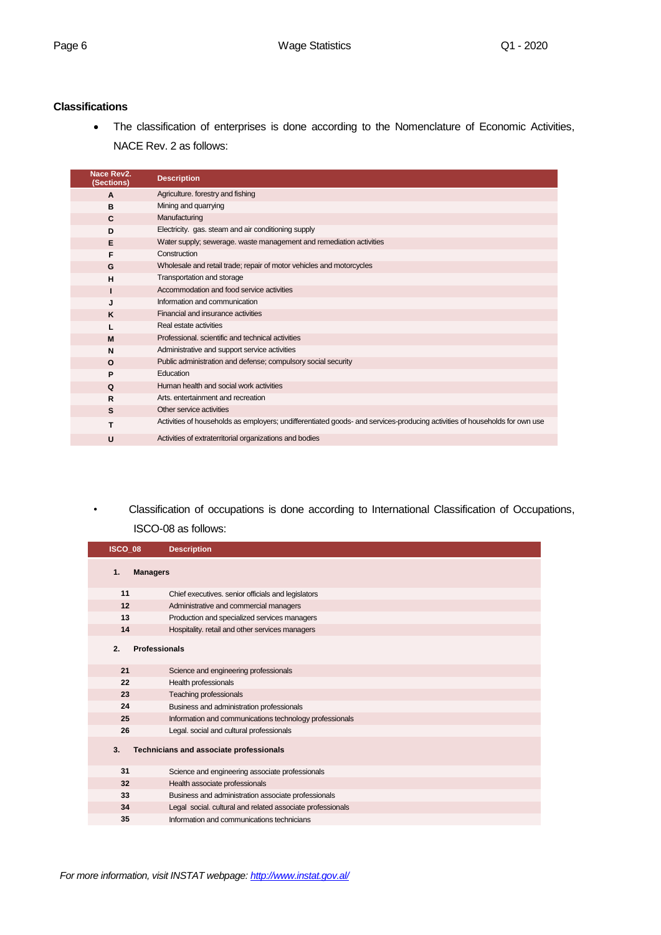#### **Classifications**

 The classification of enterprises is done according to the Nomenclature of Economic Activities, NACE Rev. 2 as follows:

| Nace Rev2.<br>(Sections) | <b>Description</b>                                                                                                         |
|--------------------------|----------------------------------------------------------------------------------------------------------------------------|
| $\mathbf{A}$             | Agriculture. forestry and fishing                                                                                          |
| в                        | Mining and quarrying                                                                                                       |
| C                        | Manufacturing                                                                                                              |
| D                        | Electricity. gas. steam and air conditioning supply                                                                        |
| Е                        | Water supply; sewerage, waste management and remediation activities                                                        |
| F                        | Construction                                                                                                               |
| G                        | Wholesale and retail trade; repair of motor vehicles and motorcycles                                                       |
| н                        | Transportation and storage                                                                                                 |
|                          | Accommodation and food service activities                                                                                  |
| J                        | Information and communication                                                                                              |
| K                        | Financial and insurance activities                                                                                         |
|                          | Real estate activities                                                                                                     |
| M                        | Professional, scientific and technical activities                                                                          |
| N                        | Administrative and support service activities                                                                              |
| $\Omega$                 | Public administration and defense; compulsory social security                                                              |
| P                        | Education                                                                                                                  |
| Q                        | Human health and social work activities                                                                                    |
| R                        | Arts, entertainment and recreation                                                                                         |
| S                        | Other service activities                                                                                                   |
| т                        | Activities of households as employers; undifferentiated goods- and services-producing activities of households for own use |
| U                        | Activities of extraterritorial organizations and bodies                                                                    |

*•* Classification of occupations is done according to International Classification of Occupations,

#### ISCO-08 as follows:

| ISCO_08               | <b>Description</b>                                         |
|-----------------------|------------------------------------------------------------|
| 1.<br><b>Managers</b> |                                                            |
| 11                    | Chief executives. senior officials and legislators         |
| 12                    | Administrative and commercial managers                     |
| 13                    | Production and specialized services managers               |
| 14                    | Hospitality. retail and other services managers            |
| 2.                    | <b>Professionals</b>                                       |
| 21                    | Science and engineering professionals                      |
| 22                    | Health professionals                                       |
| 23                    | Teaching professionals                                     |
| 24                    | Business and administration professionals                  |
| 25                    | Information and communications technology professionals    |
| 26                    | Legal. social and cultural professionals                   |
| 3.                    | Technicians and associate professionals                    |
| 31                    | Science and engineering associate professionals            |
| 32                    | Health associate professionals                             |
| 33                    | Business and administration associate professionals        |
| 34                    | Legal social. cultural and related associate professionals |
| 35                    | Information and communications technicians                 |